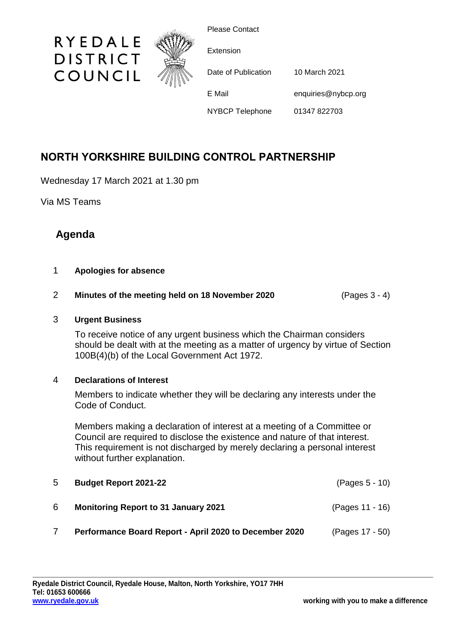

Please Contact

| Extension              |                                      |  |
|------------------------|--------------------------------------|--|
| Date of Publication    | 10 March 2021<br>enquiries@nybcp.org |  |
| E Mail                 |                                      |  |
| <b>NYBCP Telephone</b> | 01347 822703                         |  |

# **NORTH YORKSHIRE BUILDING CONTROL PARTNERSHIP**

Wednesday 17 March 2021 at 1.30 pm

Via MS Teams

# **Agenda**

### 1 **Apologies for absence**

## 2 **Minutes of the meeting held on 18 November 2020** (Pages 3 - 4)

### 3 **Urgent Business**

To receive notice of any urgent business which the Chairman considers should be dealt with at the meeting as a matter of urgency by virtue of Section 100B(4)(b) of the Local Government Act 1972.

#### 4 **Declarations of Interest**

Members to indicate whether they will be declaring any interests under the Code of Conduct.

Members making a declaration of interest at a meeting of a Committee or Council are required to disclose the existence and nature of that interest. This requirement is not discharged by merely declaring a personal interest without further explanation.

| 5  | <b>Budget Report 2021-22</b>                           | $(Pages 5 - 10)$ |
|----|--------------------------------------------------------|------------------|
| -6 | <b>Monitoring Report to 31 January 2021</b>            | (Pages 11 - 16)  |
|    | Performance Board Report - April 2020 to December 2020 | (Pages 17 - 50)  |